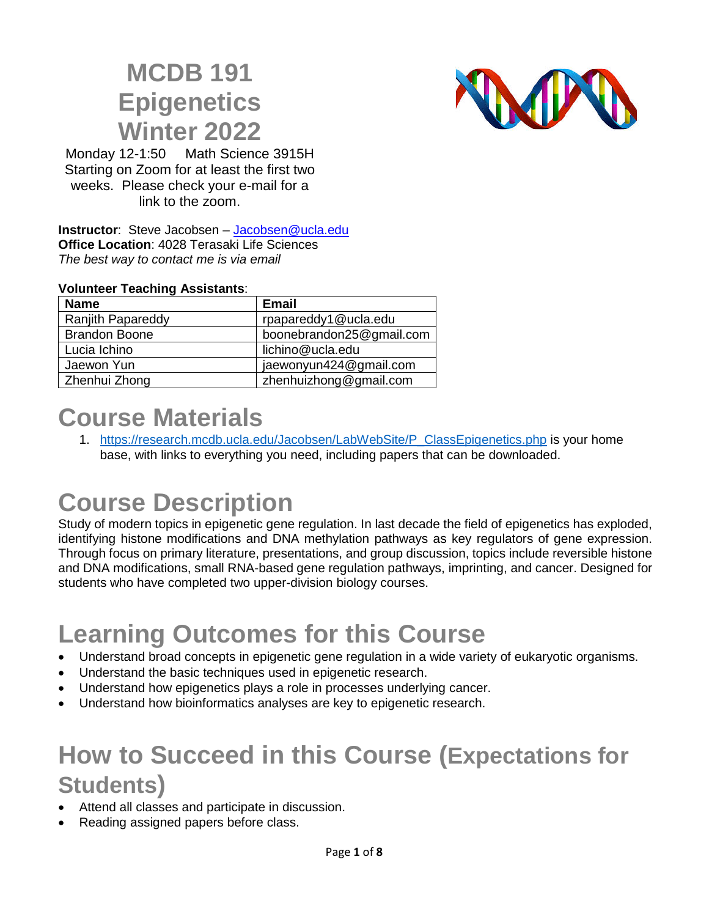## **MCDB 191 Epigenetics Winter 2022**



Monday 12-1:50 Math Science 3915H Starting on Zoom for at least the first two weeks. Please check your e-mail for a link to the zoom.<br>
The second contract of the second contract of the second contract of the second contract of the second contract of the second contract of the second contract of the second contract of the second contract

**Instructor**: Steve Jacobsen – [Jacobsen@ucla.edu](mailto:Jacobsen@ucla.edu) **Office Location**: 4028 Terasaki Life Sciences *The best way to contact me is via email*

#### **Volunteer Teaching Assistants**:

| <b>Name</b>              | <b>Email</b>             |
|--------------------------|--------------------------|
| <b>Ranjith Papareddy</b> | rpapareddy1@ucla.edu     |
| <b>Brandon Boone</b>     | boonebrandon25@gmail.com |
| Lucia Ichino             | lichino@ucla.edu         |
| Jaewon Yun               | jaewonyun424@gmail.com   |
| Zhenhui Zhong            | zhenhuizhong@gmail.com   |

## **Course Materials**

1. [https://research.mcdb.ucla.edu/Jacobsen/LabWebSite/P\\_ClassEpigenetics.php](https://research.mcdb.ucla.edu/Jacobsen/LabWebSite/P_ClassEpigenetics.php) is your home base, with links to everything you need, including papers that can be downloaded.

# **Course Description**

Study of modern topics in epigenetic gene regulation. In last decade the field of epigenetics has exploded, identifying histone modifications and DNA methylation pathways as key regulators of gene expression. Through focus on primary literature, presentations, and group discussion, topics include reversible histone and DNA modifications, small RNA-based gene regulation pathways, imprinting, and cancer. Designed for students who have completed two upper-division biology courses.

# **Learning Outcomes for this Course**

- Understand broad concepts in epigenetic gene regulation in a wide variety of eukaryotic organisms.
- Understand the basic techniques used in epigenetic research.
- Understand how epigenetics plays a role in processes underlying cancer.
- Understand how bioinformatics analyses are key to epigenetic research.

## **How to Succeed in this Course (Expectations for Students)**

- Attend all classes and participate in discussion.
- Reading assigned papers before class.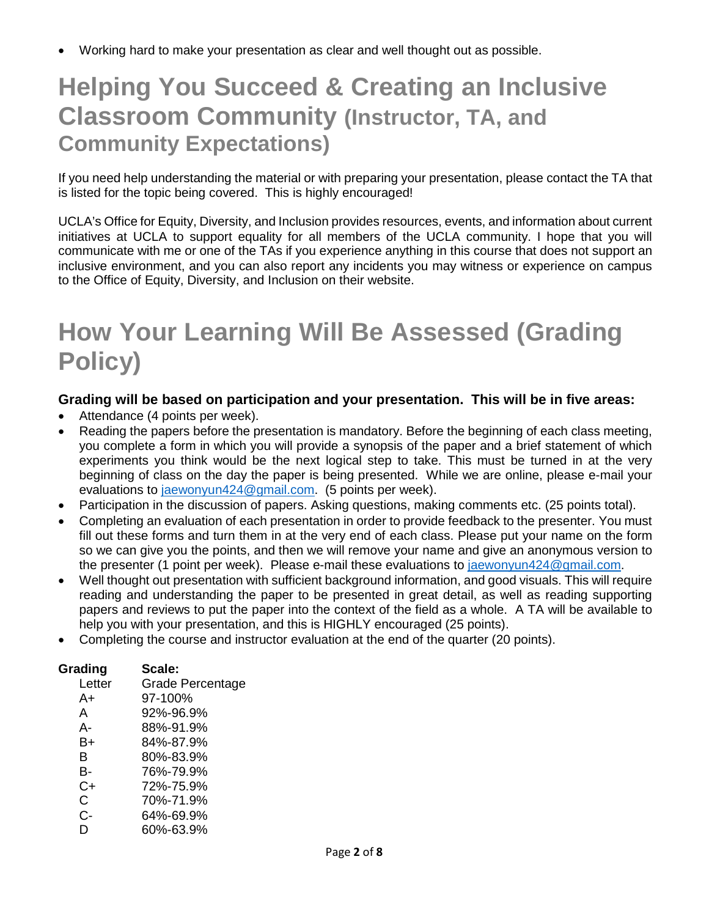• Working hard to make your presentation as clear and well thought out as possible.

## **Helping You Succeed & Creating an Inclusive Classroom Community (Instructor, TA, and Community Expectations)**

If you need help understanding the material or with preparing your presentation, please contact the TA that is listed for the topic being covered. This is highly encouraged!

UCLA's Office for Equity, Diversity, and Inclusion provides resources, events, and information about current initiatives at UCLA to support equality for all members of the UCLA community. I hope that you will communicate with me or one of the TAs if you experience anything in this course that does not support an inclusive environment, and you can also report any incidents you may witness or experience on campus to the Office of Equity, Diversity, and Inclusion on their website.

## **How Your Learning Will Be Assessed (Grading Policy)**

### **Grading will be based on participation and your presentation. This will be in five areas:**

- Attendance (4 points per week).
- Reading the papers before the presentation is mandatory. Before the beginning of each class meeting, you complete a form in which you will provide a synopsis of the paper and a brief statement of which experiments you think would be the next logical step to take. This must be turned in at the very beginning of class on the day the paper is being presented. While we are online, please e-mail your evaluations to [jaewonyun424@gmail.com.](mailto:jaewonyun424@gmail.com) (5 points per week).
- Participation in the discussion of papers. Asking questions, making comments etc. (25 points total).
- Completing an evaluation of each presentation in order to provide feedback to the presenter. You must fill out these forms and turn them in at the very end of each class. Please put your name on the form so we can give you the points, and then we will remove your name and give an anonymous version to the presenter (1 point per week). Please e-mail these evaluations to [jaewonyun424@gmail.com.](mailto:jaewonyun424@gmail.com)
- Well thought out presentation with sufficient background information, and good visuals. This will require reading and understanding the paper to be presented in great detail, as well as reading supporting papers and reviews to put the paper into the context of the field as a whole. A TA will be available to help you with your presentation, and this is HIGHLY encouraged (25 points).
- Completing the course and instructor evaluation at the end of the quarter (20 points).

| Grading | Scale:                  |
|---------|-------------------------|
| Letter  | <b>Grade Percentage</b> |
| A+      | 97-100%                 |
| A       | 92%-96.9%               |
| А-      | 88%-91.9%               |
| B+      | 84%-87.9%               |
| B       | 80%-83.9%               |
| В-      | 76%-79.9%               |
| $C+$    | 72%-75.9%               |
| С       | 70%-71.9%               |
| C-      | 64%-69.9%               |
| D       | 60%-63.9%               |
|         |                         |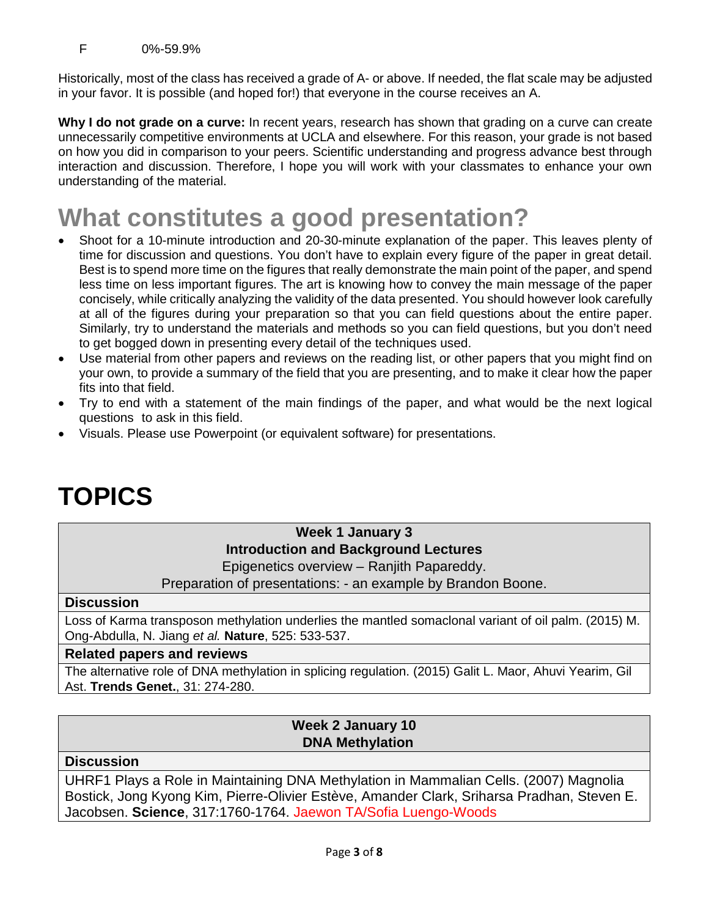Historically, most of the class has received a grade of A- or above. If needed, the flat scale may be adjusted in your favor. It is possible (and hoped for!) that everyone in the course receives an A.

**Why I do not grade on a curve:** In recent years, research has shown that grading on a curve can create unnecessarily competitive environments at UCLA and elsewhere. For this reason, your grade is not based on how you did in comparison to your peers. Scientific understanding and progress advance best through interaction and discussion. Therefore, I hope you will work with your classmates to enhance your own understanding of the material.

## **What constitutes a good presentation?**

- Shoot for a 10-minute introduction and 20-30-minute explanation of the paper. This leaves plenty of time for discussion and questions. You don't have to explain every figure of the paper in great detail. Best is to spend more time on the figures that really demonstrate the main point of the paper, and spend less time on less important figures. The art is knowing how to convey the main message of the paper concisely, while critically analyzing the validity of the data presented. You should however look carefully at all of the figures during your preparation so that you can field questions about the entire paper. Similarly, try to understand the materials and methods so you can field questions, but you don't need to get bogged down in presenting every detail of the techniques used.
- Use material from other papers and reviews on the reading list, or other papers that you might find on your own, to provide a summary of the field that you are presenting, and to make it clear how the paper fits into that field.
- Try to end with a statement of the main findings of the paper, and what would be the next logical questions to ask in this field.
- Visuals. Please use Powerpoint (or equivalent software) for presentations.

# **TOPICS**

## **Week 1 January 3 Introduction and Background Lectures**

Epigenetics overview – Ranjith Papareddy.

Preparation of presentations: - an example by Brandon Boone.

### **Discussion**

Loss of Karma transposon methylation underlies the mantled somaclonal variant of oil palm. (2015) M. Ong-Abdulla, N. Jiang *et al.* **Nature**, 525: 533-537.

#### **Related papers and reviews**

The alternative role of DNA methylation in splicing regulation. (2015) Galit L. Maor, Ahuvi Yearim, Gil Ast. **Trends Genet.**, 31: 274-280.

## **Week 2 January 10 DNA Methylation**

#### **Discussion**

UHRF1 Plays a Role in Maintaining DNA Methylation in Mammalian Cells. (2007) Magnolia Bostick, Jong Kyong Kim, Pierre-Olivier Estève, Amander Clark, Sriharsa Pradhan, Steven E. Jacobsen. **Science**, 317:1760-1764. Jaewon TA/Sofia Luengo-Woods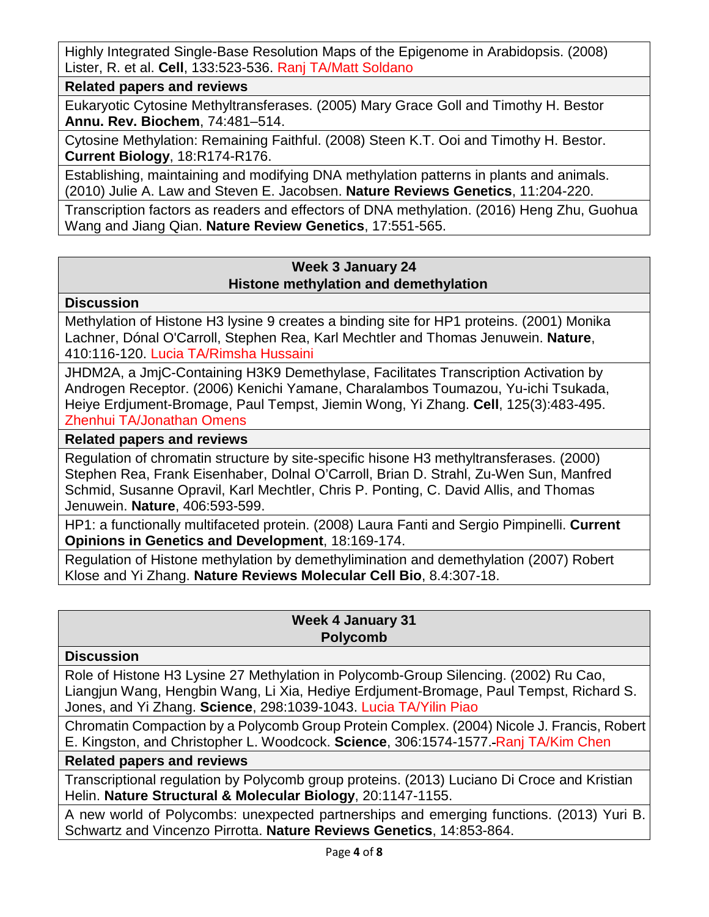Highly Integrated Single-Base Resolution Maps of the Epigenome in Arabidopsis. (2008) Lister, R. et al. **Cell**, 133:523-536. Ranj TA/Matt Soldano

**Related papers and reviews**

Eukaryotic Cytosine Methyltransferases. (2005) Mary Grace Goll and Timothy H. Bestor **Annu. Rev. Biochem**, 74:481–514.

Cytosine Methylation: Remaining Faithful. (2008) Steen K.T. Ooi and Timothy H. Bestor. **Current Biology**, 18:R174-R176.

Establishing, maintaining and modifying DNA methylation patterns in plants and animals. (2010) Julie A. Law and Steven E. Jacobsen. **Nature Reviews Genetics**, 11:204-220.

Transcription factors as readers and effectors of DNA methylation. (2016) Heng Zhu, Guohua Wang and Jiang Qian. **Nature Review Genetics**, 17:551-565.

### **Week 3 January 24 Histone methylation and demethylation**

#### **Discussion**

Methylation of Histone H3 lysine 9 creates a binding site for HP1 proteins. (2001) Monika Lachner, Dónal O'Carroll, Stephen Rea, Karl Mechtler and Thomas Jenuwein. **Nature**, 410:116-120. Lucia TA/Rimsha Hussaini

JHDM2A, a JmjC-Containing H3K9 Demethylase, Facilitates Transcription Activation by Androgen Receptor. (2006) Kenichi Yamane, Charalambos Toumazou, Yu-ichi Tsukada, Heiye Erdjument-Bromage, Paul Tempst, Jiemin Wong, Yi Zhang. **Cell**, 125(3):483-495. Zhenhui TA/Jonathan Omens

### **Related papers and reviews**

Regulation of chromatin structure by site-specific hisone H3 methyltransferases. (2000) Stephen Rea, Frank Eisenhaber, Dolnal O'Carroll, Brian D. Strahl, Zu-Wen Sun, Manfred Schmid, Susanne Opravil, Karl Mechtler, Chris P. Ponting, C. David Allis, and Thomas Jenuwein. **Nature**, 406:593-599.

HP1: a functionally multifaceted protein. (2008) Laura Fanti and Sergio Pimpinelli. **Current Opinions in Genetics and Development**, 18:169-174.

Regulation of Histone methylation by demethylimination and demethylation (2007) Robert Klose and Yi Zhang. **Nature Reviews Molecular Cell Bio**, 8.4:307-18.

## **Week 4 January 31 Polycomb**

#### **Discussion**

Role of Histone H3 Lysine 27 Methylation in Polycomb-Group Silencing. (2002) Ru Cao, Liangjun Wang, Hengbin Wang, Li Xia, Hediye Erdjument-Bromage, Paul Tempst, Richard S. Jones, and Yi Zhang. **Science**, 298:1039-1043. Lucia TA/Yilin Piao

Chromatin Compaction by a Polycomb Group Protein Complex. (2004) Nicole J. Francis, Robert E. Kingston, and Christopher L. Woodcock. **Science**, 306:1574-1577. Ranj TA/Kim Chen

#### **Related papers and reviews**

Transcriptional regulation by Polycomb group proteins. (2013) Luciano Di Croce and Kristian Helin. **Nature Structural & Molecular Biology**, 20:1147-1155.

A new world of Polycombs: unexpected partnerships and emerging functions. (2013) Yuri B. Schwartz and Vincenzo Pirrotta. **Nature Reviews Genetics**, 14:853-864.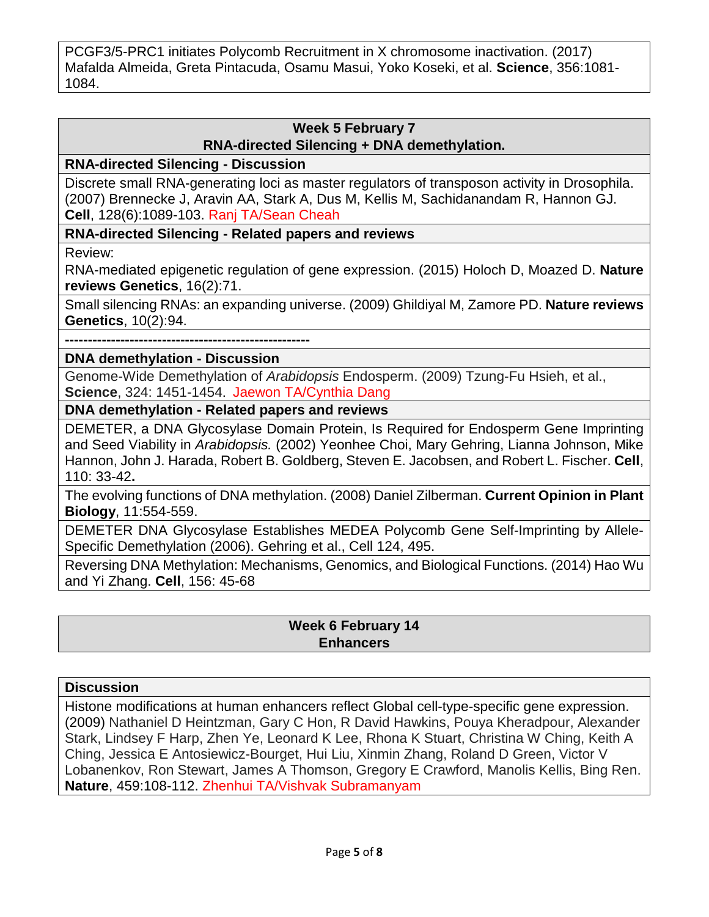PCGF3/5-PRC1 initiates Polycomb Recruitment in X chromosome inactivation. (2017) Mafalda Almeida, Greta Pintacuda, Osamu Masui, Yoko Koseki, et al. **Science**, 356:1081- 1084.

#### **Week 5 February 7 RNA-directed Silencing + DNA demethylation.**

**RNA-directed Silencing - Discussion**

Discrete small RNA-generating loci as master regulators of transposon activity in Drosophila. (2007) Brennecke J, Aravin AA, Stark A, Dus M, Kellis M, Sachidanandam R, Hannon GJ. **Cell**, 128(6):1089-103. Ranj TA/Sean Cheah

**RNA-directed Silencing - Related papers and reviews**

Review:

RNA-mediated epigenetic regulation of gene expression. (2015) Holoch D, Moazed D. **Nature reviews Genetics**, 16(2):71.

Small silencing RNAs: an expanding universe. (2009) Ghildiyal M, Zamore PD. **Nature reviews Genetics**, 10(2):94.

**-----------------------------------------------------**

**DNA demethylation - Discussion**

Genome-Wide Demethylation of *Arabidopsis* Endosperm. (2009) Tzung-Fu Hsieh, et al., **Science**, 324: 1451-1454. Jaewon TA/Cynthia Dang

**DNA demethylation - Related papers and reviews**

DEMETER, a DNA Glycosylase Domain Protein, Is Required for Endosperm Gene Imprinting and Seed Viability in *Arabidopsis.* (2002) Yeonhee Choi, Mary Gehring, Lianna Johnson, Mike Hannon, John J. Harada, Robert B. Goldberg, Steven E. Jacobsen, and Robert L. Fischer. **Cell**, 110: 33-42**.**

The evolving functions of DNA methylation. (2008) Daniel Zilberman. **Current Opinion in Plant Biology**, 11:554-559.

DEMETER DNA Glycosylase Establishes MEDEA Polycomb Gene Self-Imprinting by Allele-Specific Demethylation (2006). Gehring et al., Cell 124, 495.

Reversing DNA Methylation: Mechanisms, Genomics, and Biological Functions. (2014) Hao Wu and Yi Zhang. **Cell**, 156: 45-68

## **Week 6 February 14 Enhancers**

### **Discussion**

Histone modifications at human enhancers reflect Global cell-type-specific gene expression. (2009) Nathaniel D Heintzman, Gary C Hon, R David Hawkins, Pouya Kheradpour, Alexander Stark, Lindsey F Harp, Zhen Ye, Leonard K Lee, Rhona K Stuart, Christina W Ching, Keith A Ching, Jessica E Antosiewicz-Bourget, Hui Liu, Xinmin Zhang, Roland D Green, Victor V Lobanenkov, Ron Stewart, James A Thomson, Gregory E Crawford, Manolis Kellis, Bing Ren. **Nature**, 459:108-112. Zhenhui TA/Vishvak Subramanyam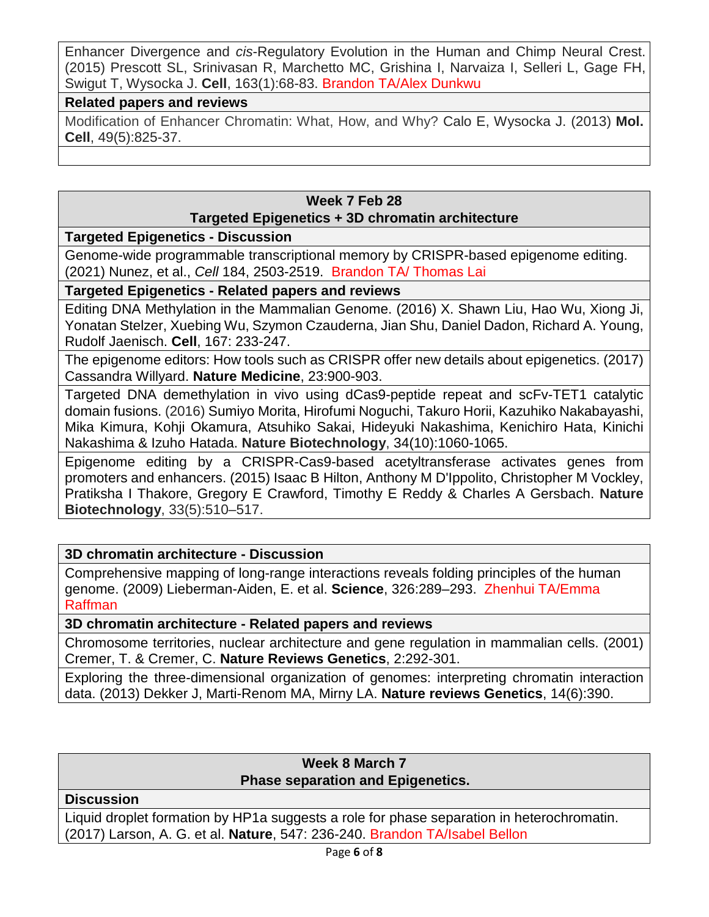Enhancer Divergence and *cis*-Regulatory Evolution in the Human and Chimp Neural Crest. (2015) Prescott SL, Srinivasan R, Marchetto MC, Grishina I, Narvaiza I, Selleri L, Gage FH, Swigut T, Wysocka J. **Cell**, 163(1):68-83. Brandon TA/Alex Dunkwu

#### **Related papers and reviews**

Modification of Enhancer Chromatin: What, How, and Why? Calo E, Wysocka J. (2013) **Mol. Cell**, 49(5):825-37.

## **Week 7 Feb 28 Targeted Epigenetics + 3D chromatin architecture**

#### **Targeted Epigenetics - Discussion**

Genome-wide programmable transcriptional memory by CRISPR-based epigenome editing. (2021) Nunez, et al., *Cell* 184, 2503-2519. Brandon TA/ Thomas Lai

#### **Targeted Epigenetics - Related papers and reviews**

Editing DNA Methylation in the Mammalian Genome. (2016) [X. Shawn Liu, Hao Wu, Xiong Ji,](javascript:void(0);) [Yonatan Stelzer, Xuebing Wu, Szymon Czauderna, Jian Shu, Daniel Dadon, Richard A. Young,](javascript:void(0);) [Rudolf Jaenisch.](javascript:void(0);) **Cell**, 167: 233-247.

The epigenome editors: How tools such as CRISPR offer new details about epigenetics. (2017) Cassandra Willyard. **Nature Medicine**, 23:900-903.

Targeted DNA demethylation in vivo using dCas9-peptide repeat and scFv-TET1 catalytic domain fusions. (2016) Sumiyo Morita, Hirofumi Noguchi, Takuro Horii, Kazuhiko Nakabayashi, Mika Kimura, Kohji Okamura, Atsuhiko Sakai, Hideyuki Nakashima, Kenichiro Hata, Kinichi Nakashima & Izuho Hatada. **Nature Biotechnology**, 34(10):1060-1065.

Epigenome editing by a CRISPR-Cas9-based acetyltransferase activates genes from promoters and enhancers. (2015) Isaac B Hilton, Anthony M D'Ippolito, Christopher M Vockley, Pratiksha I Thakore, Gregory E Crawford, Timothy E Reddy & Charles A Gersbach. **Nature Biotechnology**, 33(5):510–517.

### **3D chromatin architecture - Discussion**

Comprehensive mapping of long-range interactions reveals folding principles of the human genome. (2009) Lieberman-Aiden, E. et al. **Science**, 326:289–293. Zhenhui TA/Emma Raffman

#### **3D chromatin architecture - Related papers and reviews**

Chromosome territories, nuclear architecture and gene regulation in mammalian cells. (2001) Cremer, T. & Cremer, C. **Nature Reviews Genetics**, 2:292-301.

Exploring the three-dimensional organization of genomes: interpreting chromatin interaction data. (2013) Dekker J, Marti-Renom MA, Mirny LA. **Nature reviews Genetics**, 14(6):390.

#### **Week 8 March 7 Phase separation and Epigenetics.**

#### **Discussion**

Liquid droplet formation by HP1a suggests a role for phase separation in heterochromatin. (2017) Larson, A. G. et al. **Nature**, 547: 236-240. Brandon TA/Isabel Bellon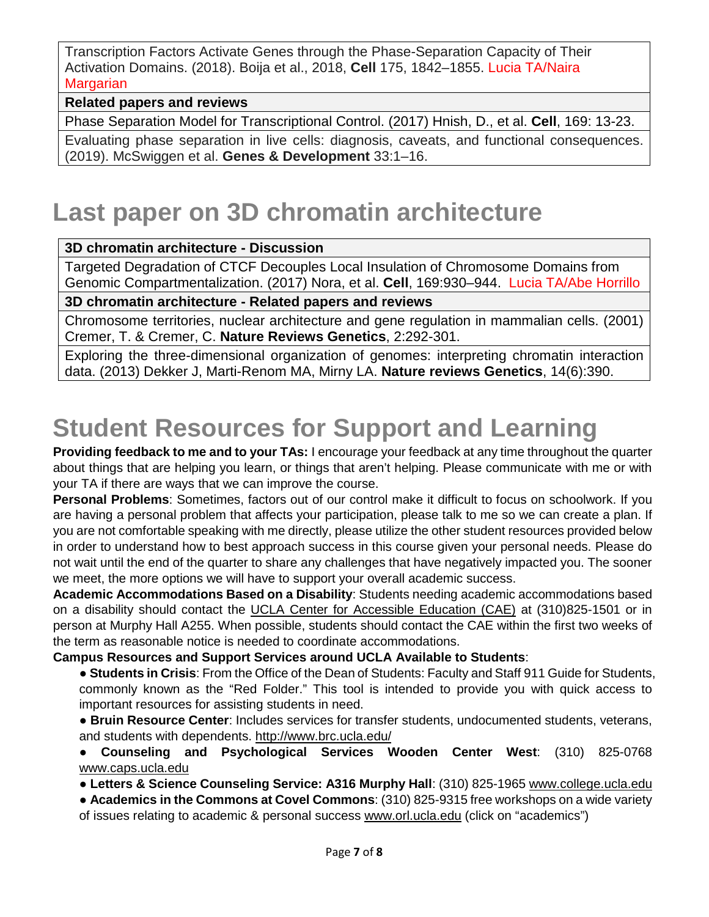Transcription Factors Activate Genes through the Phase-Separation Capacity of Their Activation Domains. (2018). Boija et al., 2018, **Cell** 175, 1842–1855. Lucia TA/Naira **Margarian** 

#### **Related papers and reviews**

Phase Separation Model for Transcriptional Control. (2017) Hnish, D., et al. **Cell**, 169: 13-23.

Evaluating phase separation in live cells: diagnosis, caveats, and functional consequences. (2019). McSwiggen et al. **Genes & Development** 33:1–16.

## **Last paper on 3D chromatin architecture**

#### **3D chromatin architecture - Discussion**

Targeted Degradation of CTCF Decouples Local Insulation of Chromosome Domains from Genomic Compartmentalization. (2017) Nora, et al. **Cell**, 169:930–944. Lucia TA/Abe Horrillo

#### **3D chromatin architecture - Related papers and reviews**

Chromosome territories, nuclear architecture and gene regulation in mammalian cells. (2001) Cremer, T. & Cremer, C. **Nature Reviews Genetics**, 2:292-301.

Exploring the three-dimensional organization of genomes: interpreting chromatin interaction data. (2013) Dekker J, Marti-Renom MA, Mirny LA. **Nature reviews Genetics**, 14(6):390.

# **Student Resources for Support and Learning**

**Providing feedback to me and to your TAs:** I encourage your feedback at any time throughout the quarter about things that are helping you learn, or things that aren't helping. Please communicate with me or with your TA if there are ways that we can improve the course.

**Personal Problems**: Sometimes, factors out of our control make it difficult to focus on schoolwork. If you are having a personal problem that affects your participation, please talk to me so we can create a plan. If you are not comfortable speaking with me directly, please utilize the other student resources provided below in order to understand how to best approach success in this course given your personal needs. Please do not wait until the end of the quarter to share any challenges that have negatively impacted you. The sooner we meet, the more options we will have to support your overall academic success.

**Academic Accommodations Based on a Disability**: Students needing academic accommodations based on a disability should contact the UCLA Center for Accessible Education (CAE) at (310)825-1501 or in person at Murphy Hall A255. When possible, students should contact the CAE within the first two weeks of the term as reasonable notice is needed to coordinate accommodations.

#### **Campus Resources and Support Services around UCLA Available to Students**:

- **Students in Crisis**: From the Office of the Dean of Students: Faculty and Staff 911 Guide for Students, commonly known as the "Red Folder." This tool is intended to provide you with quick access to important resources for assisting students in need.
- **Bruin Resource Center**: Includes services for transfer students, undocumented students, veterans, and students with dependents.<http://www.brc.ucla.edu/>

● **Counseling and Psychological Services Wooden Center West**: (310) 825-0768 [www.caps.ucla.edu](http://www.caps.ucla.edu/)

● **Letters & Science Counseling Service: A316 Murphy Hall**: (310) 825-1965 [www.college.ucla.edu](http://www.college.ucla.edu/)

● **Academics in the Commons at Covel Commons**: (310) 825-9315 free workshops on a wide variety

of issues relating to academic & personal success www.orl.ucla.edu (click on "academics")